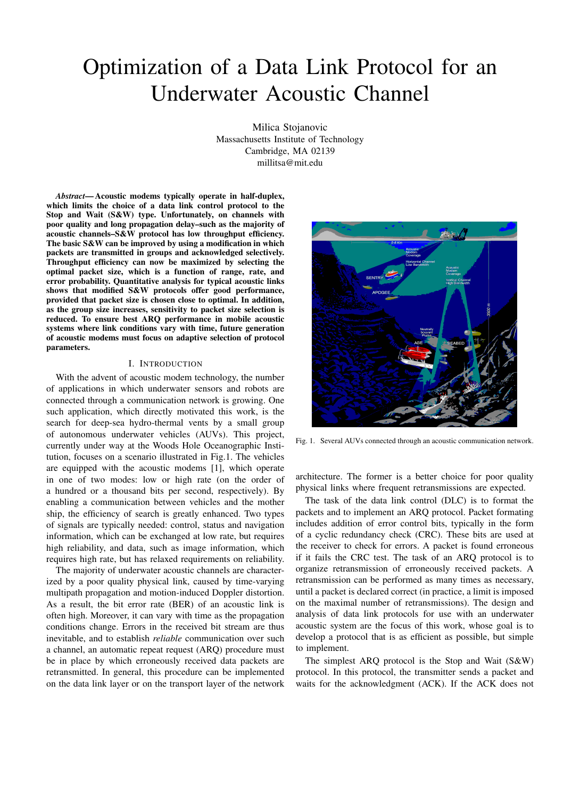# Optimization of a Data Link Protocol for an Underwater Acoustic Channel

Milica Stojanovic Massachusetts Institute of Technology Cambridge, MA 02139 millitsa@mit.edu

*Abstract***— Acoustic modems typically operate in half-duplex, which limits the choice of a data link control protocol to the Stop and Wait (S&W) type. Unfortunately, on channels with poor quality and long propagation delay–such as the majority of acoustic channels–S&W protocol has low throughput efficiency. The basic S&W can be improved by using a modification in which packets are transmitted in groups and acknowledged selectively. Throughput efficiency can now be maximized by selecting the optimal packet size, which is a function of range, rate, and error probability. Quantitative analysis for typical acoustic links shows that modified S&W protocols offer good performance, provided that packet size is chosen close to optimal. In addition, as the group size increases, sensitivity to packet size selection is reduced. To ensure best ARQ performance in mobile acoustic systems where link conditions vary with time, future generation of acoustic modems must focus on adaptive selection of protocol parameters.**

#### I. INTRODUCTION

With the advent of acoustic modem technology, the number of applications in which underwater sensors and robots are connected through a communication network is growing. One such application, which directly motivated this work, is the search for deep-sea hydro-thermal vents by a small group of autonomous underwater vehicles (AUVs). This project, currently under way at the Woods Hole Oceanographic Institution, focuses on a scenario illustrated in Fig.1. The vehicles are equipped with the acoustic modems [1], which operate in one of two modes: low or high rate (on the order of a hundred or a thousand bits per second, respectively). By enabling a communication between vehicles and the mother ship, the efficiency of search is greatly enhanced. Two types of signals are typically needed: control, status and navigation information, which can be exchanged at low rate, but requires high reliability, and data, such as image information, which requires high rate, but has relaxed requirements on reliability.

The majority of underwater acoustic channels are characterized by a poor quality physical link, caused by time-varying multipath propagation and motion-induced Doppler distortion. As a result, the bit error rate (BER) of an acoustic link is often high. Moreover, it can vary with time as the propagation conditions change. Errors in the received bit stream are thus inevitable, and to establish *reliable* communication over such a channel, an automatic repeat request (ARQ) procedure must be in place by which erroneously received data packets are retransmitted. In general, this procedure can be implemented on the data link layer or on the transport layer of the network



Fig. 1. Several AUVs connected through an acoustic communication network.

architecture. The former is a better choice for poor quality physical links where frequent retransmissions are expected.

The task of the data link control (DLC) is to format the packets and to implement an ARQ protocol. Packet formating includes addition of error control bits, typically in the form of a cyclic redundancy check (CRC). These bits are used at the receiver to check for errors. A packet is found erroneous if it fails the CRC test. The task of an ARQ protocol is to organize retransmission of erroneously received packets. A retransmission can be performed as many times as necessary, until a packet is declared correct (in practice, a limit is imposed on the maximal number of retransmissions). The design and analysis of data link protocols for use with an underwater acoustic system are the focus of this work, whose goal is to develop a protocol that is as efficient as possible, but simple to implement.

The simplest ARQ protocol is the Stop and Wait (S&W) protocol. In this protocol, the transmitter sends a packet and waits for the acknowledgment (ACK). If the ACK does not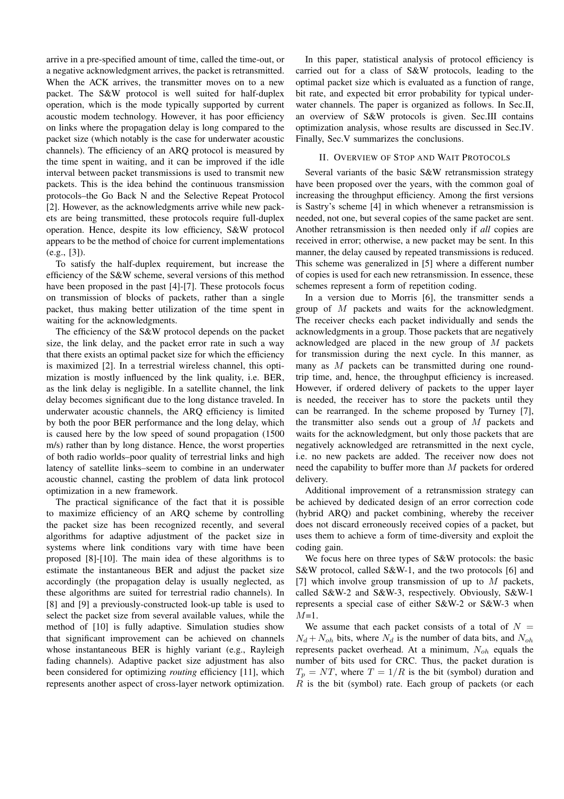arrive in a pre-specified amount of time, called the time-out, or a negative acknowledgment arrives, the packet is retransmitted. When the ACK arrives, the transmitter moves on to a new packet. The S&W protocol is well suited for half-duplex operation, which is the mode typically supported by current acoustic modem technology. However, it has poor efficiency on links where the propagation delay is long compared to the packet size (which notably is the case for underwater acoustic channels). The efficiency of an ARQ protocol is measured by the time spent in waiting, and it can be improved if the idle interval between packet transmissions is used to transmit new packets. This is the idea behind the continuous transmission protocols–the Go Back N and the Selective Repeat Protocol [2]. However, as the acknowledgments arrive while new packets are being transmitted, these protocols require full-duplex operation. Hence, despite its low efficiency, S&W protocol appears to be the method of choice for current implementations (e.g., [3]).

To satisfy the half-duplex requirement, but increase the efficiency of the S&W scheme, several versions of this method have been proposed in the past [4]-[7]. These protocols focus on transmission of blocks of packets, rather than a single packet, thus making better utilization of the time spent in waiting for the acknowledgments.

The efficiency of the S&W protocol depends on the packet size, the link delay, and the packet error rate in such a way that there exists an optimal packet size for which the efficiency is maximized [2]. In a terrestrial wireless channel, this optimization is mostly influenced by the link quality, i.e. BER, as the link delay is negligible. In a satellite channel, the link delay becomes significant due to the long distance traveled. In underwater acoustic channels, the ARQ efficiency is limited by both the poor BER performance and the long delay, which is caused here by the low speed of sound propagation (1500 m/s) rather than by long distance. Hence, the worst properties of both radio worlds–poor quality of terrestrial links and high latency of satellite links–seem to combine in an underwater acoustic channel, casting the problem of data link protocol optimization in a new framework.

The practical significance of the fact that it is possible to maximize efficiency of an ARQ scheme by controlling the packet size has been recognized recently, and several algorithms for adaptive adjustment of the packet size in systems where link conditions vary with time have been proposed [8]-[10]. The main idea of these algorithms is to estimate the instantaneous BER and adjust the packet size accordingly (the propagation delay is usually neglected, as these algorithms are suited for terrestrial radio channels). In [8] and [9] a previously-constructed look-up table is used to select the packet size from several available values, while the method of [10] is fully adaptive. Simulation studies show that significant improvement can be achieved on channels whose instantaneous BER is highly variant (e.g., Rayleigh fading channels). Adaptive packet size adjustment has also been considered for optimizing *routing* efficiency [11], which represents another aspect of cross-layer network optimization.

In this paper, statistical analysis of protocol efficiency is carried out for a class of S&W protocols, leading to the optimal packet size which is evaluated as a function of range, bit rate, and expected bit error probability for typical underwater channels. The paper is organized as follows. In Sec.II, an overview of S&W protocols is given. Sec.III contains optimization analysis, whose results are discussed in Sec.IV. Finally, Sec.V summarizes the conclusions.

### II. OVERVIEW OF STOP AND WAIT PROTOCOLS

Several variants of the basic S&W retransmission strategy have been proposed over the years, with the common goal of increasing the throughput efficiency. Among the first versions is Sastry's scheme [4] in which whenever a retransmission is needed, not one, but several copies of the same packet are sent. Another retransmission is then needed only if *all* copies are received in error; otherwise, a new packet may be sent. In this manner, the delay caused by repeated transmissions is reduced. This scheme was generalized in [5] where a different number of copies is used for each new retransmission. In essence, these schemes represent a form of repetition coding.

In a version due to Morris [6], the transmitter sends a group of M packets and waits for the acknowledgment. The receiver checks each packet individually and sends the acknowledgments in a group. Those packets that are negatively acknowledged are placed in the new group of M packets for transmission during the next cycle. In this manner, as many as M packets can be transmitted during one roundtrip time, and, hence, the throughput efficiency is increased. However, if ordered delivery of packets to the upper layer is needed, the receiver has to store the packets until they can be rearranged. In the scheme proposed by Turney [7], the transmitter also sends out a group of  $M$  packets and waits for the acknowledgment, but only those packets that are negatively acknowledged are retransmitted in the next cycle, i.e. no new packets are added. The receiver now does not need the capability to buffer more than M packets for ordered delivery.

Additional improvement of a retransmission strategy can be achieved by dedicated design of an error correction code (hybrid ARQ) and packet combining, whereby the receiver does not discard erroneously received copies of a packet, but uses them to achieve a form of time-diversity and exploit the coding gain.

We focus here on three types of S&W protocols: the basic S&W protocol, called S&W-1, and the two protocols [6] and [7] which involve group transmission of up to  $M$  packets, called S&W-2 and S&W-3, respectively. Obviously, S&W-1 represents a special case of either S&W-2 or S&W-3 when  $M=1$ .

We assume that each packet consists of a total of  $N =$  $N_d + N_{oh}$  bits, where  $N_d$  is the number of data bits, and  $N_{oh}$ represents packet overhead. At a minimum,  $N_{ab}$  equals the number of bits used for CRC. Thus, the packet duration is  $T_p = NT$ , where  $T = 1/R$  is the bit (symbol) duration and  $R$  is the bit (symbol) rate. Each group of packets (or each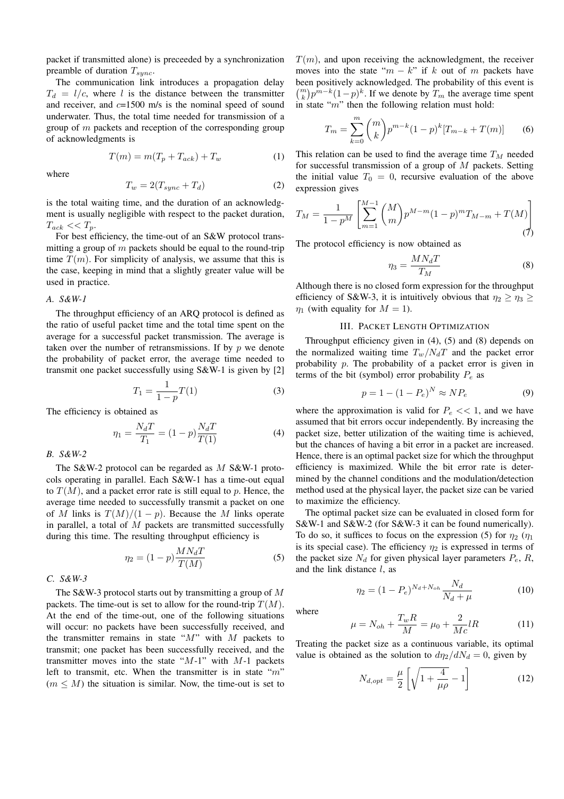packet if transmitted alone) is preceeded by a synchronization preamble of duration  $T_{sync}$ .

The communication link introduces a propagation delay  $T_d = l/c$ , where l is the distance between the transmitter and receiver, and  $c=1500$  m/s is the nominal speed of sound underwater. Thus, the total time needed for transmission of a group of  $m$  packets and reception of the corresponding group of acknowledgments is

$$
T(m) = m(T_p + T_{ack}) + T_w \tag{1}
$$

where

$$
T_w = 2(T_{sync} + T_d)
$$
 (2)

is the total waiting time, and the duration of an acknowledgment is usually negligible with respect to the packet duration,  $T_{ack} \ll T_p$ .

For best efficiency, the time-out of an S&W protocol transmitting a group of  $m$  packets should be equal to the round-trip time  $T(m)$ . For simplicity of analysis, we assume that this is the case, keeping in mind that a slightly greater value will be used in practice.

### *A. S&W-1*

The throughput efficiency of an ARQ protocol is defined as the ratio of useful packet time and the total time spent on the average for a successful packet transmission. The average is taken over the number of retransmissions. If by  $p$  we denote the probability of packet error, the average time needed to transmit one packet successfully using S&W-1 is given by [2]

$$
T_1 = \frac{1}{1 - p} T(1) \tag{3}
$$

The efficiency is obtained as

$$
\eta_1 = \frac{N_d T}{T_1} = (1 - p) \frac{N_d T}{T(1)} \tag{4}
$$

*B. S&W-2*

The S&W-2 protocol can be regarded as M S&W-1 protocols operating in parallel. Each S&W-1 has a time-out equal to  $T(M)$ , and a packet error rate is still equal to p. Hence, the average time needed to successfully transmit a packet on one of M links is  $T(M)/(1 - p)$ . Because the M links operate in parallel, a total of  $M$  packets are transmitted successfully during this time. The resulting throughput efficiency is

$$
\eta_2 = (1 - p) \frac{M N_d T}{T(M)} \tag{5}
$$

*C. S&W-3*

The S&W-3 protocol starts out by transmitting a group of  $M$ packets. The time-out is set to allow for the round-trip  $T(M)$ . At the end of the time-out, one of the following situations will occur: no packets have been successfully received, and the transmitter remains in state " $M$ " with  $M$  packets to transmit; one packet has been successfully received, and the transmitter moves into the state " $M-1$ " with  $M-1$  packets left to transmit, etc. When the transmitter is in state " $m$ "  $(m \leq M)$  the situation is similar. Now, the time-out is set to

 $T(m)$ , and upon receiving the acknowledgment, the receiver moves into the state " $m - k$ " if k out of m packets have been positively acknowledged. The probability of this event is  $\binom{m}{k} p^{m-k} (1-p)^k$ . If we denote by  $T_m$  the average time spent in state " $m$ " then the following relation must hold:

$$
T_m = \sum_{k=0}^{m} \binom{m}{k} p^{m-k} (1-p)^k [T_{m-k} + T(m)] \tag{6}
$$

This relation can be used to find the average time  $T_M$  needed for successful transmission of a group of  $M$  packets. Setting the initial value  $T_0 = 0$ , recursive evaluation of the above expression gives

$$
T_M = \frac{1}{1 - p^M} \left[ \sum_{m=1}^{M-1} {M \choose m} p^{M-m} (1 - p)^m T_{M-m} + T(M) \right] \tag{7}
$$

The protocol efficiency is now obtained as

$$
\eta_3 = \frac{M N_d T}{T_M} \tag{8}
$$

Although there is no closed form expression for the throughput efficiency of S&W-3, it is intuitively obvious that  $\eta_2 \geq \eta_3 \geq$  $\eta_1$  (with equality for  $M = 1$ ).

#### III. PACKET LENGTH OPTIMIZATION

Throughput efficiency given in (4), (5) and (8) depends on the normalized waiting time  $T_w/N_dT$  and the packet error probability p. The probability of a packet error is given in terms of the bit (symbol) error probability  $P_e$  as

$$
p = 1 - (1 - P_e)^N \approx NP_e \tag{9}
$$

where the approximation is valid for  $P_e \ll 1$ , and we have assumed that bit errors occur independently. By increasing the packet size, better utilization of the waiting time is achieved, but the chances of having a bit error in a packet are increased. Hence, there is an optimal packet size for which the throughput efficiency is maximized. While the bit error rate is determined by the channel conditions and the modulation/detection method used at the physical layer, the packet size can be varied to maximize the efficiency.

The optimal packet size can be evaluated in closed form for S&W-1 and S&W-2 (for S&W-3 it can be found numerically). To do so, it suffices to focus on the expression (5) for  $\eta_2$  ( $\eta_1$ is its special case). The efficiency  $\eta_2$  is expressed in terms of the packet size  $N_d$  for given physical layer parameters  $P_e$ , R, and the link distance  $l$ , as

$$
\eta_2 = (1 - P_e)^{N_d + N_{oh}} \frac{N_d}{N_d + \mu} \tag{10}
$$

where

$$
\mu = N_{oh} + \frac{T_w R}{M} = \mu_0 + \frac{2}{Mc} lR
$$
 (11)

Treating the packet size as a continuous variable, its optimal value is obtained as the solution to  $d\eta_2/dN_d = 0$ , given by

$$
N_{d,opt} = \frac{\mu}{2} \left[ \sqrt{1 + \frac{4}{\mu \rho}} - 1 \right]
$$
 (12)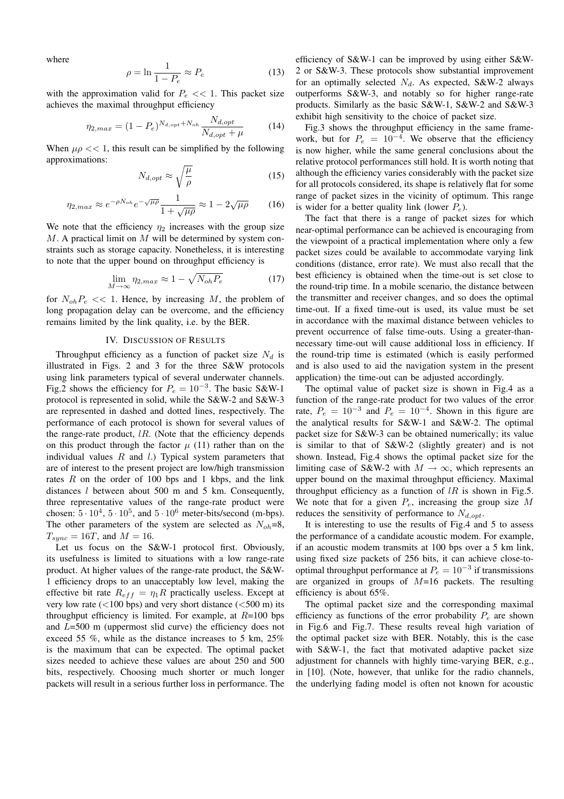where

$$
\rho = \ln \frac{1}{1 - P_e} \approx P_e \tag{13}
$$

with the approximation valid for  $P_e \ll 1$ . This packet size achieves the maximal throughput efficiency

$$
\eta_{2,max} = (1 - P_e)^{N_{d,opt} + N_{oh}} \frac{N_{d,opt}}{N_{d,opt} + \mu}
$$
 (14)

When  $\mu \rho \ll 1$ , this result can be simplified by the following approximations:

$$
N_{d,opt} \approx \sqrt{\frac{\mu}{\rho}} \tag{15}
$$

$$
\eta_{2,max} \approx e^{-\rho N_{oh}} e^{-\sqrt{\mu \rho}} \frac{1}{1 + \sqrt{\mu \rho}} \approx 1 - 2\sqrt{\mu \rho} \qquad (16)
$$

We note that the efficiency  $\eta_2$  increases with the group size  $M$ . A practical limit on  $M$  will be determined by system constraints such as storage capacity. Nonetheless, it is interesting to note that the upper bound on throughput efficiency is

$$
\lim_{M \to \infty} \eta_{2,max} \approx 1 - \sqrt{N_{oh} P_e} \tag{17}
$$

for  $N_{oh}P_e \ll 1$ . Hence, by increasing M, the problem of long propagation delay can be overcome, and the efficiency remains limited by the link quality, i.e. by the BER.

## IV. DISCUSSION OF RESULTS

Throughput efficiency as a function of packet size  $N_d$  is illustrated in Figs. 2 and 3 for the three S&W protocols using link parameters typical of several underwater channels. Fig.2 shows the efficiency for  $P_e = 10^{-3}$ . The basic S&W-1 protocol is represented in solid, while the S&W-2 and S&W-3 are represented in dashed and dotted lines, respectively. The performance of each protocol is shown for several values of the range-rate product,  $lR$ . (Note that the efficiency depends on this product through the factor  $\mu$  (11) rather than on the individual values  $R$  and  $l$ .) Typical system parameters that are of interest to the present project are low/high transmission rates  $R$  on the order of 100 bps and 1 kbps, and the link distances  $l$  between about 500 m and 5 km. Consequently, three representative values of the range-rate product were chosen:  $5 \cdot 10^4$ ,  $5 \cdot 10^5$ , and  $5 \cdot 10^6$  meter-bits/second (m-bps). The other parameters of the system are selected as  $N_{oh}=8$ ,  $T_{sync} = 16T$ , and  $M = 16$ .

Let us focus on the S&W-1 protocol first. Obviously, its usefulness is limited to situations with a low range-rate product. At higher values of the range-rate product, the S&W-1 efficiency drops to an unacceptably low level, making the effective bit rate  $R_{eff} = \eta_1 R$  practically useless. Except at very low rate  $(<100 \text{ bps})$  and very short distance  $(<500 \text{ m})$  its throughput efficiency is limited. For example, at  $R=100$  bps and L=500 m (uppermost slid curve) the efficiency does not exceed 55 %, while as the distance increases to 5 km, 25% is the maximum that can be expected. The optimal packet sizes needed to achieve these values are about 250 and 500 bits, respectively. Choosing much shorter or much longer packets will result in a serious further loss in performance. The

efficiency of S&W-1 can be improved by using either S&W-2 or S&W-3. These protocols show substantial improvement for an optimally selected  $N_d$ . As expected, S&W-2 always outperforms S&W-3, and notably so for higher range-rate products. Similarly as the basic S&W-1, S&W-2 and S&W-3 exhibit high sensitivity to the choice of packet size.

Fig.3 shows the throughput efficiency in the same framework, but for  $P_e = 10^{-4}$ . We observe that the efficiency is now higher, while the same general conclusions about the relative protocol performances still hold. It is worth noting that although the efficiency varies considerably with the packet size for all protocols considered, its shape is relatively flat for some range of packet sizes in the vicinity of optimum. This range is wider for a better quality link (lower  $P_e$ ).

The fact that there is a range of packet sizes for which near-optimal performance can be achieved is encouraging from the viewpoint of a practical implementation where only a few packet sizes could be available to accommodate varying link conditions (distance, error rate). We must also recall that the best efficiency is obtained when the time-out is set close to the round-trip time. In a mobile scenario, the distance between the transmitter and receiver changes, and so does the optimal time-out. If a fixed time-out is used, its value must be set in accordance with the maximal distance between vehicles to prevent occurrence of false time-outs. Using a greater-thannecessary time-out will cause additional loss in efficiency. If the round-trip time is estimated (which is easily performed and is also used to aid the navigation system in the present application) the time-out can be adjusted accordingly.

The optimal value of packet size is shown in Fig.4 as a function of the range-rate product for two values of the error rate,  $P_e = 10^{-3}$  and  $P_e = 10^{-4}$ . Shown in this figure are the analytical results for S&W-1 and S&W-2. The optimal packet size for S&W-3 can be obtained numerically; its value is similar to that of S&W-2 (slightly greater) and is not shown. Instead, Fig.4 shows the optimal packet size for the limiting case of S&W-2 with  $M \to \infty$ , which represents an upper bound on the maximal throughput efficiency. Maximal throughput efficiency as a function of  $lR$  is shown in Fig.5. We note that for a given  $P_e$ , increasing the group size M reduces the sensitivity of performance to  $N_{d,opt}$ .

It is interesting to use the results of Fig.4 and 5 to assess the performance of a candidate acoustic modem. For example, if an acoustic modem transmits at 100 bps over a 5 km link, using fixed size packets of 256 bits, it can achieve close-tooptimal throughput performance at  $P_e = 10^{-3}$  if transmissions are organized in groups of  $M=16$  packets. The resulting efficiency is about 65%.

The optimal packet size and the corresponding maximal efficiency as functions of the error probability  $P_e$  are shown in Fig.6 and Fig.7. These results reveal high variation of the optimal packet size with BER. Notably, this is the case with S&W-1, the fact that motivated adaptive packet size adjustment for channels with highly time-varying BER, e.g., in [10]. (Note, however, that unlike for the radio channels, the underlying fading model is often not known for acoustic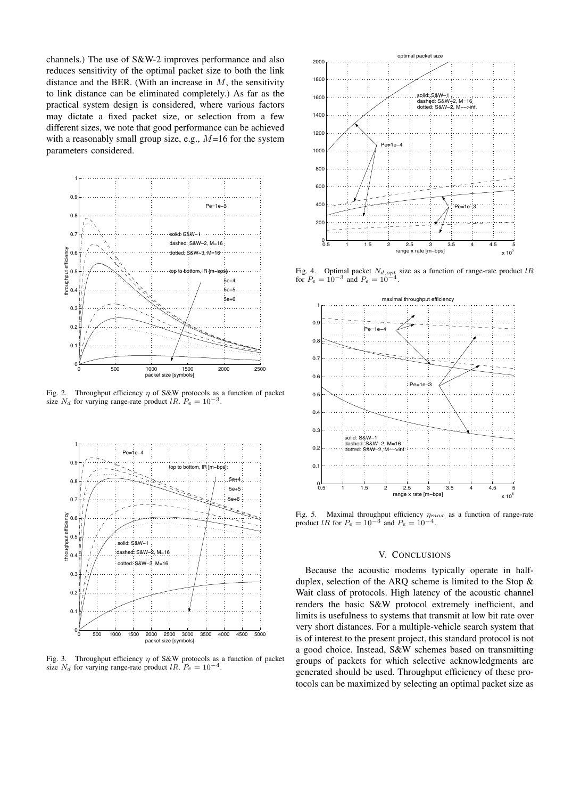channels.) The use of S&W-2 improves performance and also reduces sensitivity of the optimal packet size to both the link distance and the BER. (With an increase in  $M$ , the sensitivity to link distance can be eliminated completely.) As far as the practical system design is considered, where various factors may dictate a fixed packet size, or selection from a few different sizes, we note that good performance can be achieved with a reasonably small group size, e.g.,  $M=16$  for the system parameters considered.



Fig. 2. Throughput efficiency  $\eta$  of S&W protocols as a function of packet size  $N_d$  for varying range-rate product lR.  $P_e = 10^{-3}$ .



Fig. 3. Throughput efficiency  $\eta$  of S&W protocols as a function of packet size  $N_d$  for varying range-rate product lR.  $P_e = 10^{-4}$ .



Fig. 4. Optimal packet  $N_{d,opt}$  size as a function of range-rate product lR for  $R = 10^{-3}$  and  $R = 10^{-4}$ for  $P_e = 10^{-3}$  and  $P_e = 10^{-3}$ .



Fig. 5. Maximal throughput efficiency η*max* as a function of range-rate product lR for  $P_e = 10^{-3}$  and  $P_e = 10^{-4}$ .

# V. CONCLUSIONS

Because the acoustic modems typically operate in halfduplex, selection of the ARQ scheme is limited to the Stop & Wait class of protocols. High latency of the acoustic channel renders the basic S&W protocol extremely inefficient, and limits is usefulness to systems that transmit at low bit rate over very short distances. For a multiple-vehicle search system that is of interest to the present project, this standard protocol is not a good choice. Instead, S&W schemes based on transmitting groups of packets for which selective acknowledgments are generated should be used. Throughput efficiency of these protocols can be maximized by selecting an optimal packet size as